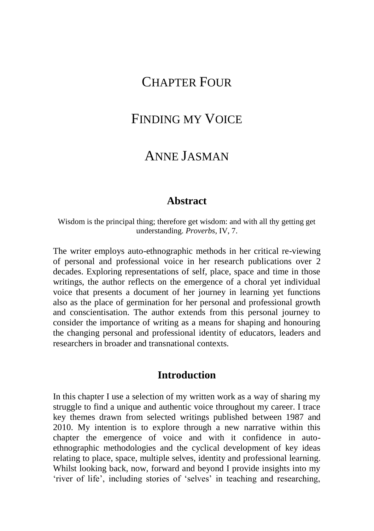# CHAPTER FOUR

# FINDING MY VOICE

## ANNE JASMAN

#### **Abstract**

Wisdom is the principal thing; therefore get wisdom: and with all thy getting get understanding. *Proverbs*, IV, 7.

The writer employs auto-ethnographic methods in her critical re-viewing of personal and professional voice in her research publications over 2 decades. Exploring representations of self, place, space and time in those writings, the author reflects on the emergence of a choral yet individual voice that presents a document of her journey in learning yet functions also as the place of germination for her personal and professional growth and conscientisation. The author extends from this personal journey to consider the importance of writing as a means for shaping and honouring the changing personal and professional identity of educators, leaders and researchers in broader and transnational contexts.

## **Introduction**

In this chapter I use a selection of my written work as a way of sharing my struggle to find a unique and authentic voice throughout my career. I trace key themes drawn from selected writings published between 1987 and 2010. My intention is to explore through a new narrative within this chapter the emergence of voice and with it confidence in autoethnographic methodologies and the cyclical development of key ideas relating to place, space, multiple selves, identity and professional learning. Whilst looking back, now, forward and beyond I provide insights into my 'river of life', including stories of 'selves' in teaching and researching,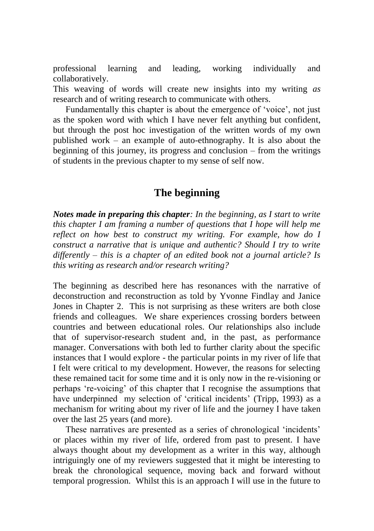professional learning and leading, working individually and collaboratively.

This weaving of words will create new insights into my writing *as* research and of writing research to communicate with others.

Fundamentally this chapter is about the emergence of 'voice', not just as the spoken word with which I have never felt anything but confident, but through the post hoc investigation of the written words of my own published work – an example of auto-ethnography. It is also about the beginning of this journey, its progress and conclusion – from the writings of students in the previous chapter to my sense of self now.

## **The beginning**

*Notes made in preparing this chapter: In the beginning, as I start to write this chapter I am framing a number of questions that I hope will help me reflect on how best to construct my writing. For example, how do I construct a narrative that is unique and authentic? Should I try to write differently – this is a chapter of an edited book not a journal article? Is this writing as research and/or research writing?*

The beginning as described here has resonances with the narrative of deconstruction and reconstruction as told by Yvonne Findlay and Janice Jones in Chapter 2. This is not surprising as these writers are both close friends and colleagues. We share experiences crossing borders between countries and between educational roles. Our relationships also include that of supervisor-research student and, in the past, as performance manager. Conversations with both led to further clarity about the specific instances that I would explore - the particular points in my river of life that I felt were critical to my development. However, the reasons for selecting these remained tacit for some time and it is only now in the re-visioning or perhaps 're-voicing' of this chapter that I recognise the assumptions that have underpinned my selection of 'critical incidents' (Tripp, 1993) as a mechanism for writing about my river of life and the journey I have taken over the last 25 years (and more).

These narratives are presented as a series of chronological 'incidents' or places within my river of life, ordered from past to present. I have always thought about my development as a writer in this way, although intriguingly one of my reviewers suggested that it might be interesting to break the chronological sequence, moving back and forward without temporal progression. Whilst this is an approach I will use in the future to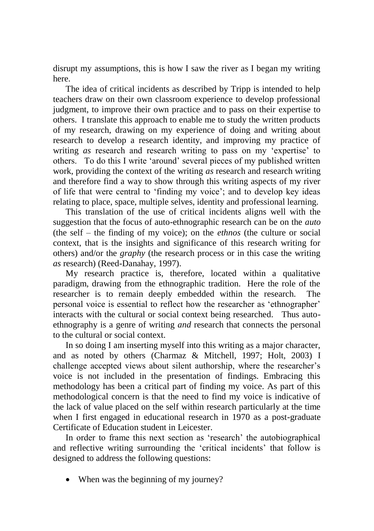disrupt my assumptions, this is how I saw the river as I began my writing here.

The idea of critical incidents as described by Tripp is intended to help teachers draw on their own classroom experience to develop professional judgment, to improve their own practice and to pass on their expertise to others. I translate this approach to enable me to study the written products of my research, drawing on my experience of doing and writing about research to develop a research identity, and improving my practice of writing *as* research and research writing to pass on my 'expertise' to others. To do this I write 'around' several pieces of my published written work, providing the context of the writing *as* research and research writing and therefore find a way to show through this writing aspects of my river of life that were central to 'finding my voice'; and to develop key ideas relating to place, space, multiple selves, identity and professional learning.

This translation of the use of critical incidents aligns well with the suggestion that the focus of auto-ethnographic research can be on the *auto* (the self – the finding of my voice); on the *ethnos* (the culture or social context, that is the insights and significance of this research writing for others) and/or the *graphy* (the research process or in this case the writing *as* research) (Reed-Danahay, 1997).

My research practice is, therefore, located within a qualitative paradigm, drawing from the ethnographic tradition. Here the role of the researcher is to remain deeply embedded within the research. The personal voice is essential to reflect how the researcher as 'ethnographer' interacts with the cultural or social context being researched. Thus autoethnography is a genre of writing *and* research that connects the personal to the cultural or social context.

In so doing I am inserting myself into this writing as a major character, and as noted by others (Charmaz & Mitchell, 1997; Holt, 2003) I challenge accepted views about silent authorship, where the researcher's voice is not included in the presentation of findings. Embracing this methodology has been a critical part of finding my voice. As part of this methodological concern is that the need to find my voice is indicative of the lack of value placed on the self within research particularly at the time when I first engaged in educational research in 1970 as a post-graduate Certificate of Education student in Leicester.

In order to frame this next section as 'research' the autobiographical and reflective writing surrounding the 'critical incidents' that follow is designed to address the following questions:

• When was the beginning of my journey?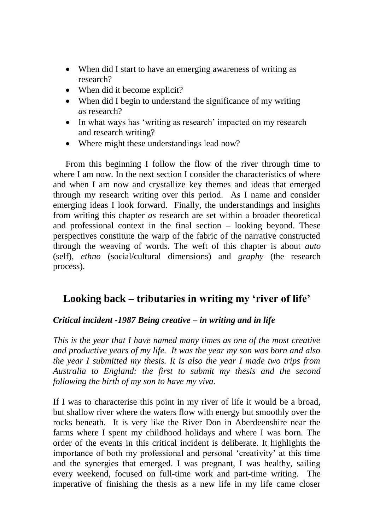- When did I start to have an emerging awareness of writing as research?
- When did it become explicit?
- When did I begin to understand the significance of my writing *as* research?
- In what ways has 'writing as research' impacted on my research and research writing?
- Where might these understandings lead now?

From this beginning I follow the flow of the river through time to where I am now. In the next section I consider the characteristics of where and when I am now and crystallize key themes and ideas that emerged through my research writing over this period. As I name and consider emerging ideas I look forward. Finally, the understandings and insights from writing this chapter *as* research are set within a broader theoretical and professional context in the final section – looking beyond. These perspectives constitute the warp of the fabric of the narrative constructed through the weaving of words. The weft of this chapter is about *auto*  (self), *ethno* (social/cultural dimensions) and *graphy* (the research process).

## **Looking back – tributaries in writing my 'river of life'**

### *Critical incident -1987 Being creative – in writing and in life*

*This is the year that I have named many times as one of the most creative and productive years of my life. It was the year my son was born and also the year I submitted my thesis. It is also the year I made two trips from Australia to England: the first to submit my thesis and the second following the birth of my son to have my viva.* 

If I was to characterise this point in my river of life it would be a broad, but shallow river where the waters flow with energy but smoothly over the rocks beneath. It is very like the River Don in Aberdeenshire near the farms where I spent my childhood holidays and where I was born. The order of the events in this critical incident is deliberate. It highlights the importance of both my professional and personal 'creativity' at this time and the synergies that emerged. I was pregnant, I was healthy, sailing every weekend, focused on full-time work and part-time writing. The imperative of finishing the thesis as a new life in my life came closer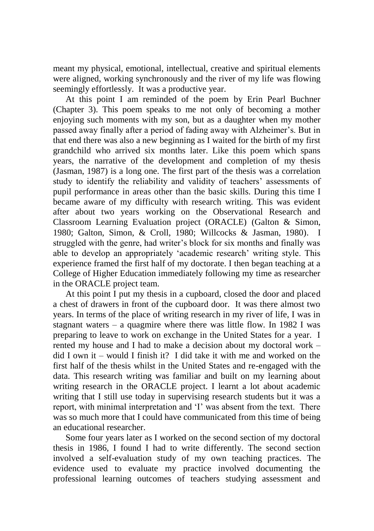meant my physical, emotional, intellectual, creative and spiritual elements were aligned, working synchronously and the river of my life was flowing seemingly effortlessly. It was a productive year.

At this point I am reminded of the poem by Erin Pearl Buchner (Chapter 3). This poem speaks to me not only of becoming a mother enjoying such moments with my son, but as a daughter when my mother passed away finally after a period of fading away with Alzheimer's. But in that end there was also a new beginning as I waited for the birth of my first grandchild who arrived six months later. Like this poem which spans years, the narrative of the development and completion of my thesis (Jasman, 1987) is a long one. The first part of the thesis was a correlation study to identify the reliability and validity of teachers' assessments of pupil performance in areas other than the basic skills. During this time I became aware of my difficulty with research writing. This was evident after about two years working on the Observational Research and Classroom Learning Evaluation project (ORACLE) (Galton & Simon, 1980; Galton, Simon, & Croll, 1980; Willcocks & Jasman, 1980). I struggled with the genre, had writer's block for six months and finally was able to develop an appropriately 'academic research' writing style. This experience framed the first half of my doctorate. I then began teaching at a College of Higher Education immediately following my time as researcher in the ORACLE project team.

At this point I put my thesis in a cupboard, closed the door and placed a chest of drawers in front of the cupboard door. It was there almost two years. In terms of the place of writing research in my river of life, I was in stagnant waters – a quagmire where there was little flow. In 1982 I was preparing to leave to work on exchange in the United States for a year. I rented my house and I had to make a decision about my doctoral work – did I own it – would I finish it? I did take it with me and worked on the first half of the thesis whilst in the United States and re-engaged with the data. This research writing was familiar and built on my learning about writing research in the ORACLE project. I learnt a lot about academic writing that I still use today in supervising research students but it was a report, with minimal interpretation and 'I' was absent from the text. There was so much more that I could have communicated from this time of being an educational researcher.

Some four years later as I worked on the second section of my doctoral thesis in 1986, I found I had to write differently. The second section involved a self-evaluation study of my own teaching practices. The evidence used to evaluate my practice involved documenting the professional learning outcomes of teachers studying assessment and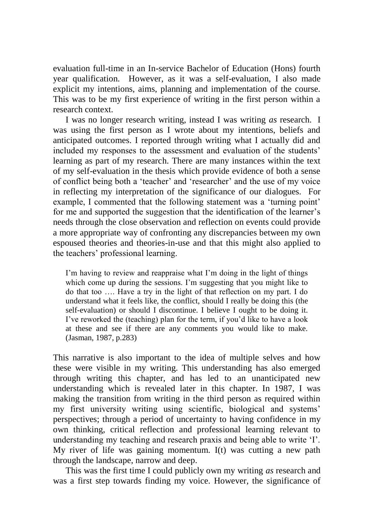evaluation full-time in an In-service Bachelor of Education (Hons) fourth year qualification. However, as it was a self-evaluation, I also made explicit my intentions, aims, planning and implementation of the course. This was to be my first experience of writing in the first person within a research context.

I was no longer research writing, instead I was writing *as* research. I was using the first person as I wrote about my intentions, beliefs and anticipated outcomes. I reported through writing what I actually did and included my responses to the assessment and evaluation of the students' learning as part of my research. There are many instances within the text of my self-evaluation in the thesis which provide evidence of both a sense of conflict being both a 'teacher' and 'researcher' and the use of my voice in reflecting my interpretation of the significance of our dialogues. For example, I commented that the following statement was a 'turning point' for me and supported the suggestion that the identification of the learner's needs through the close observation and reflection on events could provide a more appropriate way of confronting any discrepancies between my own espoused theories and theories-in-use and that this might also applied to the teachers' professional learning.

I'm having to review and reappraise what I'm doing in the light of things which come up during the sessions. I'm suggesting that you might like to do that too …. Have a try in the light of that reflection on my part. I do understand what it feels like, the conflict, should I really be doing this (the self-evaluation) or should I discontinue. I believe I ought to be doing it. I've reworked the (teaching) plan for the term, if you'd like to have a look at these and see if there are any comments you would like to make. (Jasman, 1987, p.283)

This narrative is also important to the idea of multiple selves and how these were visible in my writing. This understanding has also emerged through writing this chapter, and has led to an unanticipated new understanding which is revealed later in this chapter. In 1987, I was making the transition from writing in the third person as required within my first university writing using scientific, biological and systems' perspectives; through a period of uncertainty to having confidence in my own thinking, critical reflection and professional learning relevant to understanding my teaching and research praxis and being able to write 'I'. My river of life was gaining momentum. I(t) was cutting a new path through the landscape, narrow and deep.

This was the first time I could publicly own my writing *as* research and was a first step towards finding my voice. However, the significance of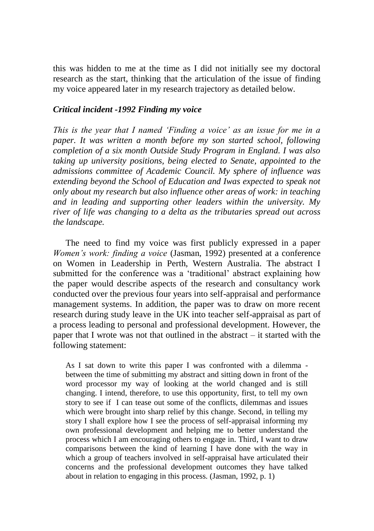this was hidden to me at the time as I did not initially see my doctoral research as the start, thinking that the articulation of the issue of finding my voice appeared later in my research trajectory as detailed below.

#### *Critical incident -1992 Finding my voice*

*This is the year that I named 'Finding a voice' as an issue for me in a paper. It was written a month before my son started school, following completion of a six month Outside Study Program in England. I was also taking up university positions, being elected to Senate, appointed to the admissions committee of Academic Council. My sphere of influence was extending beyond the School of Education and Iwas expected to speak not only about my research but also influence other areas of work: in teaching and in leading and supporting other leaders within the university. My river of life was changing to a delta as the tributaries spread out across the landscape.*

The need to find my voice was first publicly expressed in a paper *Women's work: finding a voice* (Jasman, 1992) presented at a conference on Women in Leadership in Perth, Western Australia. The abstract I submitted for the conference was a 'traditional' abstract explaining how the paper would describe aspects of the research and consultancy work conducted over the previous four years into self-appraisal and performance management systems. In addition, the paper was to draw on more recent research during study leave in the UK into teacher self-appraisal as part of a process leading to personal and professional development. However, the paper that I wrote was not that outlined in the abstract – it started with the following statement:

As I sat down to write this paper I was confronted with a dilemma between the time of submitting my abstract and sitting down in front of the word processor my way of looking at the world changed and is still changing. I intend, therefore, to use this opportunity, first, to tell my own story to see if I can tease out some of the conflicts, dilemmas and issues which were brought into sharp relief by this change. Second, in telling my story I shall explore how I see the process of self-appraisal informing my own professional development and helping me to better understand the process which I am encouraging others to engage in. Third, I want to draw comparisons between the kind of learning I have done with the way in which a group of teachers involved in self-appraisal have articulated their concerns and the professional development outcomes they have talked about in relation to engaging in this process. (Jasman, 1992, p. 1)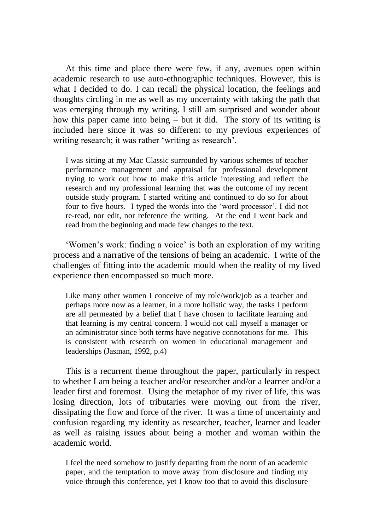At this time and place there were few, if any, avenues open within academic research to use auto-ethnographic techniques. However, this is what I decided to do. I can recall the physical location, the feelings and thoughts circling in me as well as my uncertainty with taking the path that was emerging through my writing. I still am surprised and wonder about how this paper came into being – but it did. The story of its writing is included here since it was so different to my previous experiences of writing research; it was rather 'writing as research'.

I was sitting at my Mac Classic surrounded by various schemes of teacher performance management and appraisal for professional development trying to work out how to make this article interesting and reflect the research and my professional learning that was the outcome of my recent outside study program. I started writing and continued to do so for about four to five hours. I typed the words into the 'word processor'. I did not re-read, nor edit, nor reference the writing. At the end I went back and read from the beginning and made few changes to the text.

'Women's work: finding a voice' is both an exploration of my writing process and a narrative of the tensions of being an academic. I write of the challenges of fitting into the academic mould when the reality of my lived experience then encompassed so much more.

Like many other women I conceive of my role/work/job as a teacher and perhaps more now as a learner, in a more holistic way, the tasks I perform are all permeated by a belief that I have chosen to facilitate learning and that learning is my central concern. I would not call myself a manager or an administrator since both terms have negative connotations for me. This is consistent with research on women in educational management and leaderships (Jasman, 1992, p.4)

This is a recurrent theme throughout the paper, particularly in respect to whether I am being a teacher and/or researcher and/or a learner and/or a leader first and foremost. Using the metaphor of my river of life, this was losing direction, lots of tributaries were moving out from the river, dissipating the flow and force of the river. It was a time of uncertainty and confusion regarding my identity as researcher, teacher, learner and leader as well as raising issues about being a mother and woman within the academic world.

I feel the need somehow to justify departing from the norm of an academic paper, and the temptation to move away from disclosure and finding my voice through this conference, yet I know too that to avoid this disclosure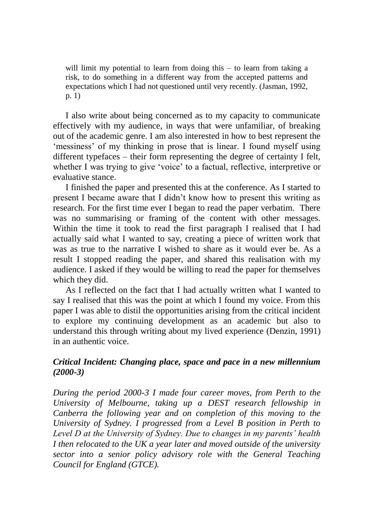will limit my potential to learn from doing this – to learn from taking a risk, to do something in a different way from the accepted patterns and expectations which I had not questioned until very recently. (Jasman, 1992, p. 1)

I also write about being concerned as to my capacity to communicate effectively with my audience, in ways that were unfamiliar, of breaking out of the academic genre. I am also interested in how to best represent the 'messiness' of my thinking in prose that is linear. I found myself using different typefaces – their form representing the degree of certainty I felt, whether I was trying to give 'voice' to a factual, reflective, interpretive or evaluative stance.

I finished the paper and presented this at the conference. As I started to present I became aware that I didn't know how to present this writing as research. For the first time ever I began to read the paper verbatim. There was no summarising or framing of the content with other messages. Within the time it took to read the first paragraph I realised that I had actually said what I wanted to say, creating a piece of written work that was as true to the narrative I wished to share as it would ever be. As a result I stopped reading the paper, and shared this realisation with my audience. I asked if they would be willing to read the paper for themselves which they did.

As I reflected on the fact that I had actually written what I wanted to say I realised that this was the point at which I found my voice. From this paper I was able to distil the opportunities arising from the critical incident to explore my continuing development as an academic but also to understand this through writing about my lived experience (Denzin, 1991) in an authentic voice.

#### *Critical Incident: Changing place, space and pace in a new millennium (2000-3)*

*During the period 2000-3 I made four career moves, from Perth to the University of Melbourne, taking up a DEST research fellowship in Canberra the following year and on completion of this moving to the University of Sydney. I progressed from a Level B position in Perth to Level D at the University of Sydney. Due to changes in my parents' health I then relocated to the UK a year later and moved outside of the university sector into a senior policy advisory role with the General Teaching Council for England (GTCE).*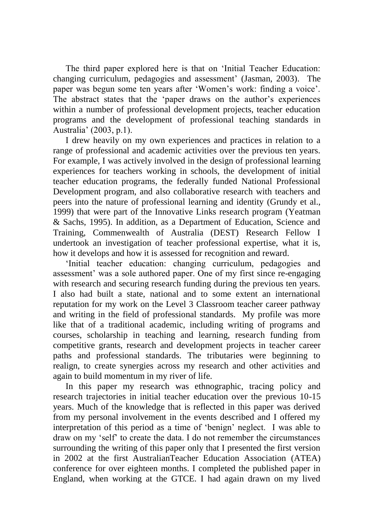The third paper explored here is that on 'Initial Teacher Education: changing curriculum, pedagogies and assessment' (Jasman, 2003). The paper was begun some ten years after 'Women's work: finding a voice'. The abstract states that the 'paper draws on the author's experiences within a number of professional development projects, teacher education programs and the development of professional teaching standards in Australia' (2003, p.1).

I drew heavily on my own experiences and practices in relation to a range of professional and academic activities over the previous ten years. For example, I was actively involved in the design of professional learning experiences for teachers working in schools, the development of initial teacher education programs, the federally funded National Professional Development program, and also collaborative research with teachers and peers into the nature of professional learning and identity (Grundy et al., 1999) that were part of the Innovative Links research program (Yeatman & Sachs, 1995). In addition, as a Department of Education, Science and Training, Commenwealth of Australia (DEST) Research Fellow I undertook an investigation of teacher professional expertise, what it is, how it develops and how it is assessed for recognition and reward.

'Initial teacher education: changing curriculum, pedagogies and assessment' was a sole authored paper. One of my first since re-engaging with research and securing research funding during the previous ten years. I also had built a state, national and to some extent an international reputation for my work on the Level 3 Classroom teacher career pathway and writing in the field of professional standards. My profile was more like that of a traditional academic, including writing of programs and courses, scholarship in teaching and learning, research funding from competitive grants, research and development projects in teacher career paths and professional standards. The tributaries were beginning to realign, to create synergies across my research and other activities and again to build momentum in my river of life.

In this paper my research was ethnographic, tracing policy and research trajectories in initial teacher education over the previous 10-15 years. Much of the knowledge that is reflected in this paper was derived from my personal involvement in the events described and I offered my interpretation of this period as a time of 'benign' neglect. I was able to draw on my 'self' to create the data. I do not remember the circumstances surrounding the writing of this paper only that I presented the first version in 2002 at the first AustralianTeacher Education Association (ATEA) conference for over eighteen months. I completed the published paper in England, when working at the GTCE. I had again drawn on my lived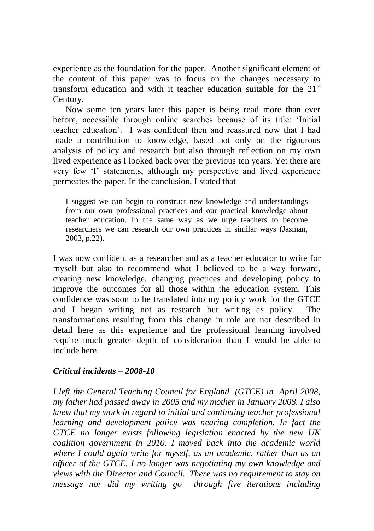experience as the foundation for the paper. Another significant element of the content of this paper was to focus on the changes necessary to transform education and with it teacher education suitable for the  $21<sup>st</sup>$ Century.

Now some ten years later this paper is being read more than ever before, accessible through online searches because of its title: 'Initial teacher education'. I was confident then and reassured now that I had made a contribution to knowledge, based not only on the rigourous analysis of policy and research but also through reflection on my own lived experience as I looked back over the previous ten years. Yet there are very few 'I' statements, although my perspective and lived experience permeates the paper. In the conclusion, I stated that

I suggest we can begin to construct new knowledge and understandings from our own professional practices and our practical knowledge about teacher education. In the same way as we urge teachers to become researchers we can research our own practices in similar ways (Jasman, 2003, p.22).

I was now confident as a researcher and as a teacher educator to write for myself but also to recommend what I believed to be a way forward, creating new knowledge, changing practices and developing policy to improve the outcomes for all those within the education system. This confidence was soon to be translated into my policy work for the GTCE and I began writing not as research but writing as policy. The transformations resulting from this change in role are not described in detail here as this experience and the professional learning involved require much greater depth of consideration than I would be able to include here.

#### *Critical incidents – 2008-10*

*I left the General Teaching Council for England (GTCE) in April 2008, my father had passed away in 2005 and my mother in January 2008. I also knew that my work in regard to initial and continuing teacher professional learning and development policy was nearing completion. In fact the GTCE no longer exists following legislation enacted by the new UK coalition government in 2010. I moved back into the academic world where I could again write for myself, as an academic, rather than as an officer of the GTCE. I no longer was negotiating my own knowledge and views with the Director and Council. There was no requirement to stay on message nor did my writing go through five iterations including*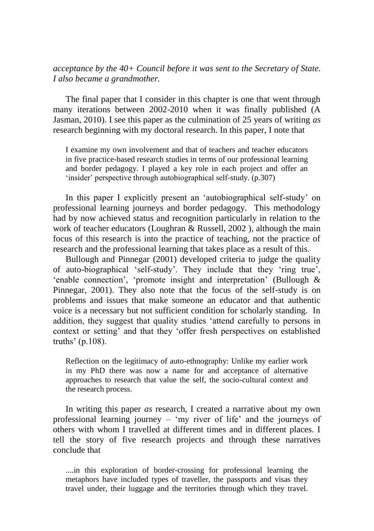#### *acceptance by the 40+ Council before it was sent to the Secretary of State. I also became a grandmother.*

The final paper that I consider in this chapter is one that went through many iterations between 2002-2010 when it was finally published (A Jasman, 2010). I see this paper as the culmination of 25 years of writing *as* research beginning with my doctoral research. In this paper, I note that

I examine my own involvement and that of teachers and teacher educators in five practice-based research studies in terms of our professional learning and border pedagogy. I played a key role in each project and offer an 'insider' perspective through autobiographical self-study. (p.307)

In this paper I explicitly present an 'autobiographical self-study' on professional learning journeys and border pedagogy. This methodology had by now achieved status and recognition particularly in relation to the work of teacher educators (Loughran & Russell, 2002 ), although the main focus of this research is into the practice of teaching, not the practice of research and the professional learning that takes place as a result of this.

Bullough and Pinnegar (2001) developed criteria to judge the quality of auto-biographical 'self-study'. They include that they 'ring true', 'enable connection', 'promote insight and interpretation' (Bullough & Pinnegar, 2001). They also note that the focus of the self-study is on problems and issues that make someone an educator and that authentic voice is a necessary but not sufficient condition for scholarly standing. In addition, they suggest that quality studies 'attend carefully to persons in context or setting' and that they 'offer fresh perspectives on established truths' (p.108).

Reflection on the legitimacy of auto-ethnography: Unlike my earlier work in my PhD there was now a name for and acceptance of alternative approaches to research that value the self, the socio-cultural context and the research process.

In writing this paper *as* research, I created a narrative about my own professional learning journey – 'my river of life' and the journeys of others with whom I travelled at different times and in different places. I tell the story of five research projects and through these narratives conclude that

....in this exploration of border-crossing for professional learning the metaphors have included types of traveller, the passports and visas they travel under, their luggage and the territories through which they travel.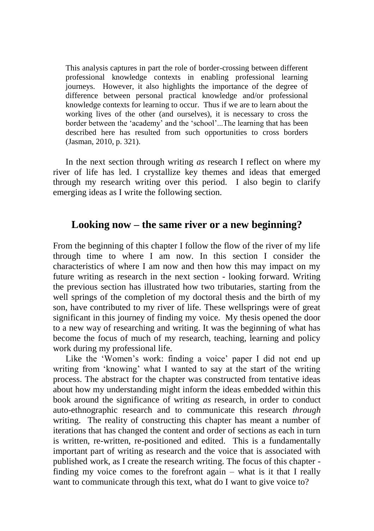This analysis captures in part the role of border-crossing between different professional knowledge contexts in enabling professional learning journeys. However, it also highlights the importance of the degree of difference between personal practical knowledge and/or professional knowledge contexts for learning to occur. Thus if we are to learn about the working lives of the other (and ourselves), it is necessary to cross the border between the 'academy' and the 'school'...The learning that has been described here has resulted from such opportunities to cross borders (Jasman, 2010, p. 321).

In the next section through writing *as* research I reflect on where my river of life has led. I crystallize key themes and ideas that emerged through my research writing over this period. I also begin to clarify emerging ideas as I write the following section.

## **Looking now – the same river or a new beginning?**

From the beginning of this chapter I follow the flow of the river of my life through time to where I am now. In this section I consider the characteristics of where I am now and then how this may impact on my future writing as research in the next section - looking forward. Writing the previous section has illustrated how two tributaries, starting from the well springs of the completion of my doctoral thesis and the birth of my son, have contributed to my river of life. These wellsprings were of great significant in this journey of finding my voice. My thesis opened the door to a new way of researching and writing. It was the beginning of what has become the focus of much of my research, teaching, learning and policy work during my professional life.

Like the 'Women's work: finding a voice' paper I did not end up writing from 'knowing' what I wanted to say at the start of the writing process. The abstract for the chapter was constructed from tentative ideas about how my understanding might inform the ideas embedded within this book around the significance of writing *as* research, in order to conduct auto-ethnographic research and to communicate this research *through* writing. The reality of constructing this chapter has meant a number of iterations that has changed the content and order of sections as each in turn is written, re-written, re-positioned and edited. This is a fundamentally important part of writing as research and the voice that is associated with published work, as I create the research writing. The focus of this chapter finding my voice comes to the forefront again – what is it that I really want to communicate through this text, what do I want to give voice to?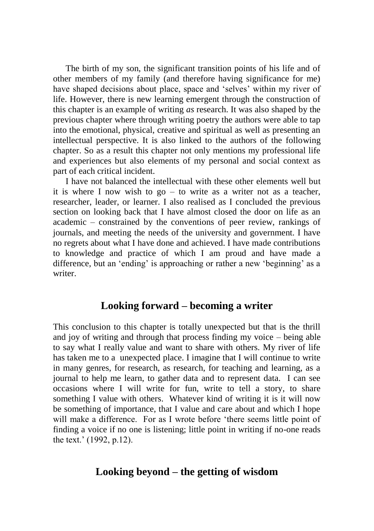The birth of my son, the significant transition points of his life and of other members of my family (and therefore having significance for me) have shaped decisions about place, space and 'selves' within my river of life. However, there is new learning emergent through the construction of this chapter is an example of writing *as* research. It was also shaped by the previous chapter where through writing poetry the authors were able to tap into the emotional, physical, creative and spiritual as well as presenting an intellectual perspective. It is also linked to the authors of the following chapter. So as a result this chapter not only mentions my professional life and experiences but also elements of my personal and social context as part of each critical incident.

I have not balanced the intellectual with these other elements well but it is where I now wish to go – to write as a writer not as a teacher, researcher, leader, or learner. I also realised as I concluded the previous section on looking back that I have almost closed the door on life as an academic – constrained by the conventions of peer review, rankings of journals, and meeting the needs of the university and government. I have no regrets about what I have done and achieved. I have made contributions to knowledge and practice of which I am proud and have made a difference, but an 'ending' is approaching or rather a new 'beginning' as a writer.

#### **Looking forward – becoming a writer**

This conclusion to this chapter is totally unexpected but that is the thrill and joy of writing and through that process finding my voice – being able to say what I really value and want to share with others. My river of life has taken me to a unexpected place. I imagine that I will continue to write in many genres, for research, as research, for teaching and learning, as a journal to help me learn, to gather data and to represent data. I can see occasions where I will write for fun, write to tell a story, to share something I value with others. Whatever kind of writing it is it will now be something of importance, that I value and care about and which I hope will make a difference. For as I wrote before 'there seems little point of finding a voice if no one is listening; little point in writing if no-one reads the text.' (1992, p.12).

### **Looking beyond – the getting of wisdom**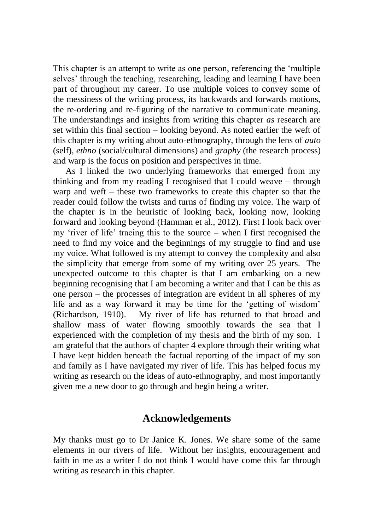This chapter is an attempt to write as one person, referencing the 'multiple selves' through the teaching, researching, leading and learning I have been part of throughout my career. To use multiple voices to convey some of the messiness of the writing process, its backwards and forwards motions, the re-ordering and re-figuring of the narrative to communicate meaning. The understandings and insights from writing this chapter *as* research are set within this final section – looking beyond. As noted earlier the weft of this chapter is my writing about auto-ethnography, through the lens of *auto*  (self), *ethno* (social/cultural dimensions) and *graphy* (the research process) and warp is the focus on position and perspectives in time.

As I linked the two underlying frameworks that emerged from my thinking and from my reading I recognised that I could weave – through warp and weft – these two frameworks to create this chapter so that the reader could follow the twists and turns of finding my voice. The warp of the chapter is in the heuristic of looking back, looking now, looking forward and looking beyond (Hamman et al., 2012). First I look back over my 'river of life' tracing this to the source – when I first recognised the need to find my voice and the beginnings of my struggle to find and use my voice. What followed is my attempt to convey the complexity and also the simplicity that emerge from some of my writing over 25 years. The unexpected outcome to this chapter is that I am embarking on a new beginning recognising that I am becoming a writer and that I can be this as one person – the processes of integration are evident in all spheres of my life and as a way forward it may be time for the 'getting of wisdom' (Richardson, 1910). My river of life has returned to that broad and shallow mass of water flowing smoothly towards the sea that I experienced with the completion of my thesis and the birth of my son. I am grateful that the authors of chapter 4 explore through their writing what I have kept hidden beneath the factual reporting of the impact of my son and family as I have navigated my river of life. This has helped focus my writing as research on the ideas of auto-ethnography, and most importantly given me a new door to go through and begin being a writer.

## **Acknowledgements**

My thanks must go to Dr Janice K. Jones. We share some of the same elements in our rivers of life. Without her insights, encouragement and faith in me as a writer I do not think I would have come this far through writing as research in this chapter.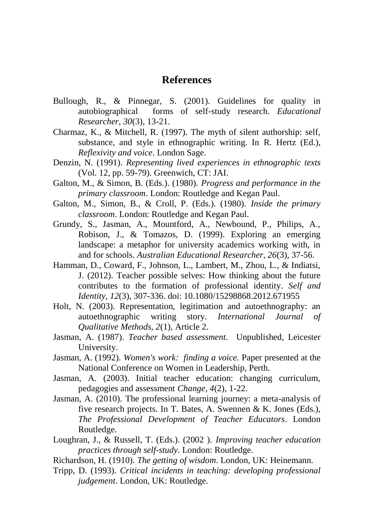#### **References**

- Bullough, R., & Pinnegar, S. (2001). Guidelines for quality in autobiographical forms of self-study research. *Educational Researcher, 30*(3), 13-21.
- Charmaz, K., & Mitchell, R. (1997). The myth of silent authorship: self, substance, and style in ethnographic writing. In R. Hertz (Ed.), *Reflexivity and voice*. London Sage.
- Denzin, N. (1991). *Representing lived experiences in ethnographic texts* (Vol. 12, pp. 59-79). Greenwich, CT: JAI.
- Galton, M., & Simon, B. (Eds.). (1980). *Progress and performance in the primary classroom*. London: Routledge and Kegan Paul.
- Galton, M., Simon, B., & Croll, P. (Eds.). (1980). *Inside the primary classroom*. London: Routledge and Kegan Paul.
- Grundy, S., Jasman, A., Mountford, A., Newbound, P., Philips, A., Robison, J., & Tomazos, D. (1999). Exploring an emerging landscape: a metaphor for university academics working with, in and for schools. *Australian Educational Researcher, 26*(3), 37-56.
- Hamman, D., Coward, F., Johnson, L., Lambert, M., Zhou, L., & Indiatsi, J. (2012). Teacher possible selves: How thinking about the future contributes to the formation of professional identity. *Self and Identity, 12*(3), 307-336. doi: 10.1080/15298868.2012.671955
- Holt, N. (2003). Representation, legitimation and autoethnography: an autoethnographic writing story. *International Journal of Qualitative Methods, 2*(1), Article 2.
- Jasman, A. (1987). *Teacher based assessment.* Unpublished, Leicester University.
- Jasman, A. (1992). *Women's work: finding a voice.* Paper presented at the National Conference on Women in Leadership, Perth.
- Jasman, A. (2003). Initial teacher education: changing curriculum, pedagogies and assessment *Change, 4*(2), 1-22.
- Jasman, A. (2010). The professional learning journey: a meta-analysis of five research projects. In T. Bates, A. Swennen & K. Jones (Eds.), *The Professional Development of Teacher Educators*. London Routledge.
- Loughran, J., & Russell, T. (Eds.). (2002 ). *Improving teacher education practices through self-study*. London: Routledge.
- Richardson, H. (1910). *The getting of wisdom*. London, UK: Heinemann.
- Tripp, D. (1993). *Critical incidents in teaching: developing professional judgement*. London, UK: Routledge.